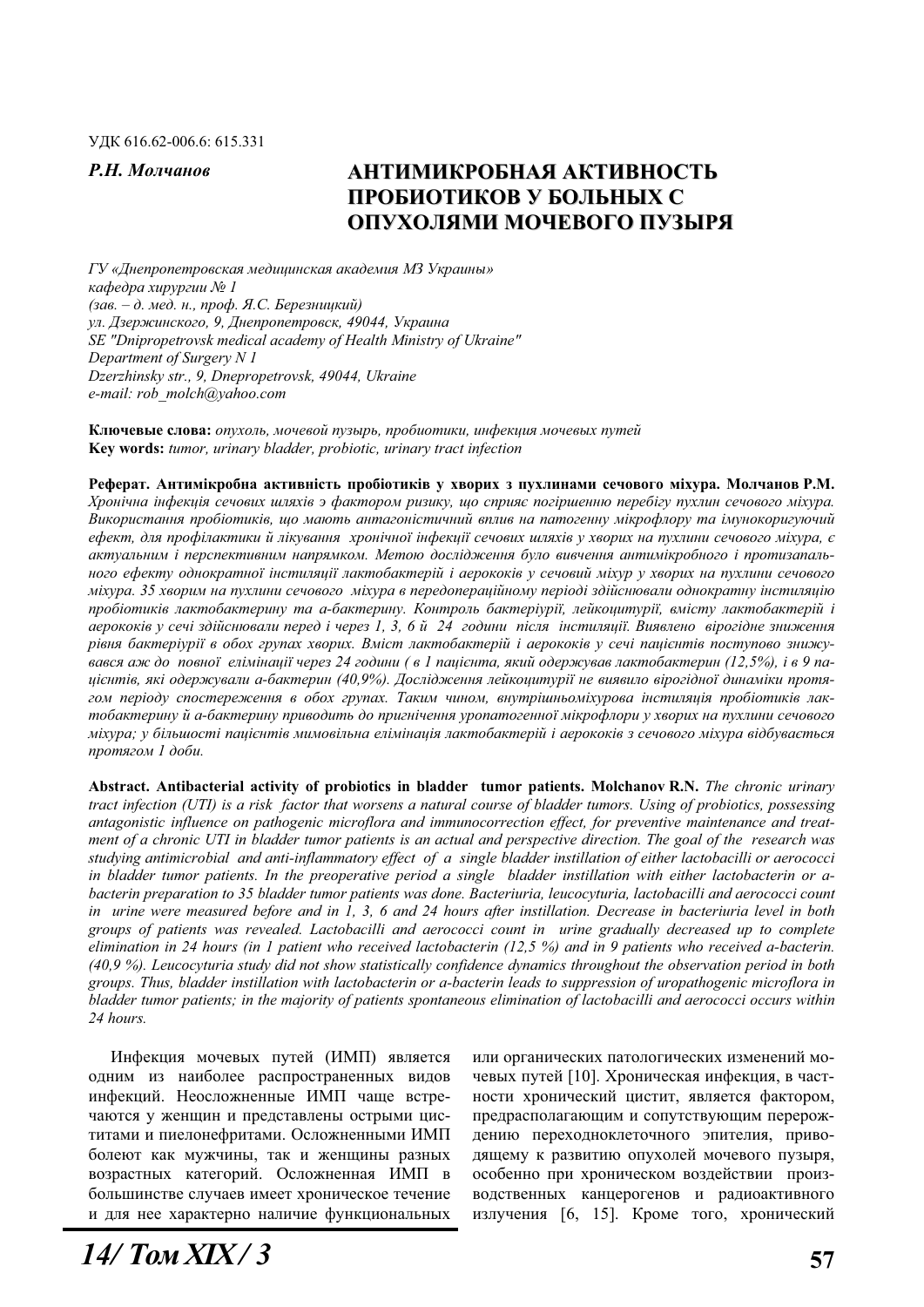## **Р.Н. Молчанов МИТИМИКРОБНАЯ АКТИВНОСТЬ** ПРОБИОТИКОВ У БОЛЬНЫХ С ОПУХОЛЯМИ МОЧЕВОГО ПУЗЫРЯ

 $\Gamma$ У «Днепропетровская медицинская академия МЗ Украины» *ɤɚɮɟɞɪɚ ɯɢɪɭɪɝɢɢ ʋ 1 (ɡɚɜ. – ɞ. ɦɟɞ. ɧ., ɩɪɨɮ. ə.ɋ. Ȼɟɪɟɡɧɢɰɤɢɣ)* ул. Дзержинского, 9, Днепропетровск, 49044, Украина *SE "Dnipropetrovsk medical academy of Health Ministry of Ukraine" Department of Surgery N 1 Dzerzhinsky str., 9, Dnepropetrovsk, 49044, Ukraine e-mail: rob\_molch@yahoo.com* 

Ключевые слова: опухоль, мочевой пузырь, пробиотики, инфекция мочевых путей **Key words:** *tumor, urinary bladder, probiotic, urinary tract infection* 

Реферат. Антимікробна активність пробіотиків у хворих з пухлинами сечового міхура. Молчанов Р.М. Хронічна інфекція сечових шляхів э фактором ризику, що сприяє погіршенню перебігу пухлин сечового міхура. Використання пробіотиків, що мають антагоністичний вплив на патогенну мікрофлору та імунокоригуючий  $e$ фект, для профілактики й лікування хронічної інфекиїї сечових шляхів у хворих на пухлини сечового міхура, є *ɚɤɬɭɚɥɶɧɢɦ ɿ ɩɟɪɫɩɟɤɬɢɜɧɢɦ ɧɚɩɪɹɦɤɨɦ. Ɇɟɬɨɸ ɞɨɫɥɿɞɠɟɧɧɹ ɛɭɥɨ ɜɢɜɱɟɧɧɹ ɚɧɬɢɦɿɤɪɨɛɧɨɝɨ ɿ ɩɪɨɬɢɡɚɩɚɥɶ*ного ефекту однократної інстиляції лактобактерій і аерококів у сечовий міхур у хворих на пухлини сечового мixypa. 35 хворим на пухлини сечового мixypa в передоперацiйному перiодi здiйснювали однократну iнстиляцiю пробіотиків лактобактерину та а-бактерину. Контроль бактеріурії, лейкоцитурії, вмісту лактобактерій і  $a$ ерококів у сечі здійснювали перед і через 1, 3, 6 й 24 години після інстиляції. Виявлено вірогідне зниження *рівня бактеріурії в обох групах хворих. Вміст лактобактерій і аерококів у сечі пацієнтів поступово знижуɜɚɜɫɹ ɚɠ ɞɨ ɩɨɜɧɨʀ ɟɥɿɦɿɧɚɰɿʀ ɱɟɪɟɡ 24 ɝɨɞɢɧɢ ( ɜ 1 ɩɚɰɿɽɧɬɚ, ɹɤɢɣ ɨɞɟɪɠɭɜɚɜ ɥɚɤɬɨɛɚɤɬɟɪɢɧ (12,5%), ɿ ɜ 9 ɩɚɰɿɽɧɬɿɜ, ɹɤɿ ɨɞɟɪɠɭɜɚɥɢ ɚ-ɛɚɤɬɟɪɢɧ (40,9%). Ⱦɨɫɥɿɞɠɟɧɧɹ ɥɟɣɤɨɰɢɬɭɪɿʀ ɧɟ ɜɢɹɜɢɥɨ ɜɿɪɨɝɿɞɧɨʀ ɞɢɧɚɦɿɤɢ ɩɪɨɬɹ*гом періоду спостереження в обох групах. Таким чином, внутрішньоміхурова інстиляція пробіотиків лактобактерину й а-бактерину приводить до пригнічення уропатогенної мікрофлори у хворих на пухлини сечового міхура; у більшості пацієнтів мимовільна елімінація лактобактерій і аерококів з сечового міхура відбувається  $n$ *p* $o$ *mягом* 1 доби.

**Abstract. Antibacterial activity of probiotics in bladder tumor patients. Molchanov R.N.** *The chronic urinary tract infection (UTI) is a risk factor that worsens a natural course of bladder tumors. Using of probiotics, possessing antagonistic influence on pathogenic microflora and immunocorrection effect, for preventive maintenance and treatment of a chronic UTI in bladder tumor patients is an actual and perspective direction. The goal of the research was studying antimicrobial and anti-inflammatory effect of a single bladder instillation of either lactobacilli or aerococci in bladder tumor patients. In the preoperative period a single bladder instillation with either lactobacterin or abacterin preparation to 35 bladder tumor patients was done. Bacteriuria, leucocyturia, lactobacilli and aerococci count in urine were measured before and in 1, 3, 6 and 24 hours after instillation. Decrease in bacteriuria level in both groups of patients was revealed. Lactobacilli and aerococci count in urine gradually decreased up to complete elimination in 24 hours (in 1 patient who received lactobacterin (12,5 %) and in 9 patients who received a-bacterin. (40,9 %). Leucocyturia study did not show statistically confidence dynamics throughout the observation period in both groups. Thus, bladder instillation with lactobacterin or a-bacterin leads to suppression of uropathogenic microflora in bladder tumor patients; in the majority of patients spontaneous elimination of lactobacilli and aerococci occurs within 24 hours.* 

Инфекция мочевых путей (ИМП) является одним из наиболее распространенных видов инфекций. Неосложненные ИМП чаще встречаются у женщин и представлены острыми циститами и пиелонефритами. Осложненными ИМП болеют как мужчины, так и женщины разных возрастных категорий. Осложненная ИМП в большинстве случаев имеет хроническое течение и для нее характерно наличие функциональных

или органических патологических изменений мочевых путей [10]. Хроническая инфекция, в частности хронический цистит, является фактором, предрасполагающим и сопутствующим перерождению переходноклеточного эпителия, приводящему к развитию опухолей мочевого пузыря, особенно при хроническом воздействии производственных канцерогенов и радиоактивного излучения [6, 15]. Кроме того, хронический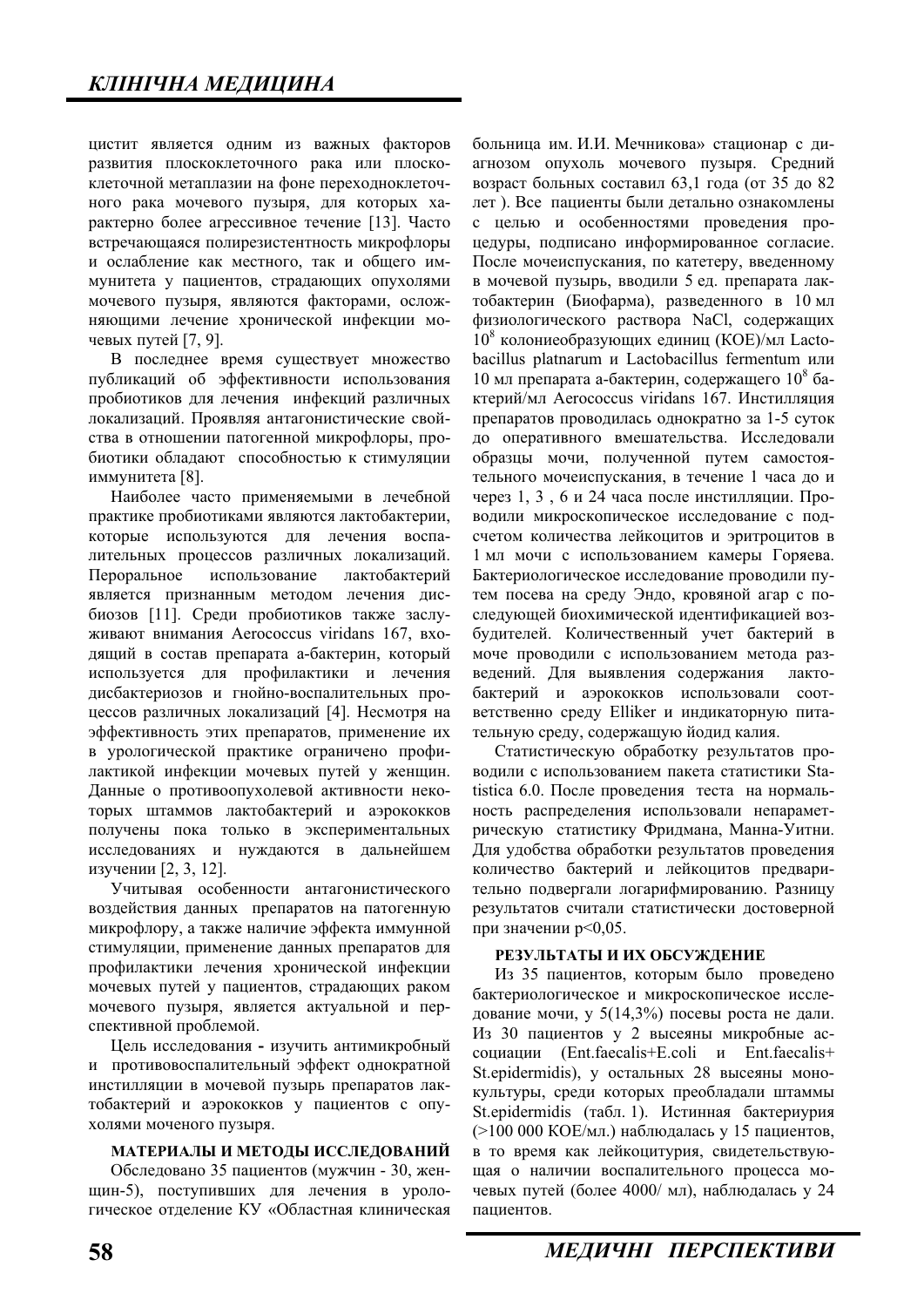шистит является одним из важных факторов развития плоскоклеточного рака или плоскоклеточной метаплазии на фоне переходноклеточного рака мочевого пузыря, для которых характерно более агрессивное течение [13]. Часто встречающаяся полирезистентность микрофлоры и ослабление как местного, так и общего иммунитета у пациентов, страдающих опухолями мочевого пузыря, являются факторами, осложняющими лечение хронической инфекции мочевых путей [7, 9].

В последнее время существует множество публикаций об эффективности использования пробиотиков для лечения инфекций различных локализаций. Проявляя антагонистические свойства в отношении патогенной микрофлоры, пробиотики обладают способностью к стимуляции иммунитета [8].

Наиболее часто применяемыми в лечебной практике пробиотиками являются лактобактерии, которые используются для лечения воспалительных процессов различных локализаций. Пероральное использование лактобактерий является признанным методом лечения дисбиозов [11]. Среди пробиотиков также заслуживают внимания Aerococcus viridans 167, входящий в состав препарата а-бактерин, который используется для профилактики и лечения дисбактериозов и гнойно-воспалительных процессов различных локализаций [4]. Несмотря на эффективность этих препаратов, применение их в урологической практике ограничено профилактикой инфекции мочевых путей у женщин. Данные о противоопухолевой активности некоторых штаммов лактобактерий и аэрококков получены пока только в экспериментальных исследованиях и нуждаются в дальнейшем изучении [2, 3, 12].

Учитывая особенности антагонистического воздействия данных препаратов на патогенную микрофлору, а также наличие эффекта иммунной стимуляции, применение данных препаратов для профилактики лечения хронической инфекции мочевых путей у пациентов, страдающих раком мочевого пузыря, является актуальной и перспективной проблемой.

Цель исследования - изучить антимикробный и противовоспалительный эффект однократной инстилляции в мочевой пузырь препаратов лактобактерий и аэрококков у пациентов с опухолями моченого пузыря.

#### МАТЕРИАЛЫ И МЕТОДЫ ИССЛЕДОВАНИЙ

Обследовано 35 пациентов (мужчин - 30, женщин-5), поступивших для лечения в урологическое отделение КУ «Областная клиническая больница им. И.И. Мечникова» стационар с диагнозом опухоль мочевого пузыря. Средний возраст больных составил 63,1 года (от 35 до 82 лет). Все пациенты были детально ознакомлены с целью и особенностями проведения процедуры, подписано информированное согласие. После мочеиспускания, по катетеру, введенному в мочевой пузырь, вводили 5 ед. препарата лактобактерин (Биофарма), разведенного в 10 мл физиологического раствора NaCl, содержащих  $10^8$  колониеобразующих единиц (КОЕ)/мл Lactobacillus platnarum u Lactobacillus fermentum или 10 мл препарата а-бактерин, содержащего  $10^8$  бактерий/мл Aerococcus viridans 167. Инстилляция препаратов проводилась однократно за 1-5 суток до оперативного вмешательства. Исследовали образцы мочи, полученной путем самостоятельного мочеиспускания, в течение 1 часа до и через 1, 3, 6 и 24 часа после инстилляции. Проводили микроскопическое исследование с подсчетом количества лейкоцитов и эритроцитов в 1 мл мочи с использованием камеры Горяева. Бактериологическое исследование проводили путем посева на среду Эндо, кровяной агар с последующей биохимической идентификацией возбудителей. Количественный учет бактерий в моче проводили с использованием метода разведений. Для выявления содержания лактобактерий и аэрококков использовали соответственно среду Elliker и индикаторную питательную среду, содержащую йодид калия.

Статистическую обработку результатов проводили с использованием пакета статистики Statistica 6.0. После проведения теста на нормальность распределения использовали непараметрическую статистику Фридмана, Манна-Уитни. Для удобства обработки результатов проведения количество бактерий и лейкоцитов предварительно подвергали логарифмированию. Разницу результатов считали статистически достоверной при значении р<0,05.

#### РЕЗУЛЬТАТЫ И ИХ ОБСУЖДЕНИЕ

Из 35 пациентов, которым было проведено бактериологическое и микроскопическое исследование мочи, у  $5(14,3\%)$  посевы роста не дали. Из 30 пациентов у 2 высеяны микробные асcоциации (Ent.faecalis+E.coli и Ent.faecalis+ St.epidermidis), у остальных 28 высеяны монокультуры, среди которых преобладали штаммы St.epidermidis (табл. 1). Истинная бактериурия  $(>100 000 \text{ KOE/mJ})$  наблюдалась у 15 пациентов, в то время как лейкоцитурия, свидетельствующая о наличии воспалительного процесса мочевых путей (более 4000/ мл), наблюдалась у 24 пациентов.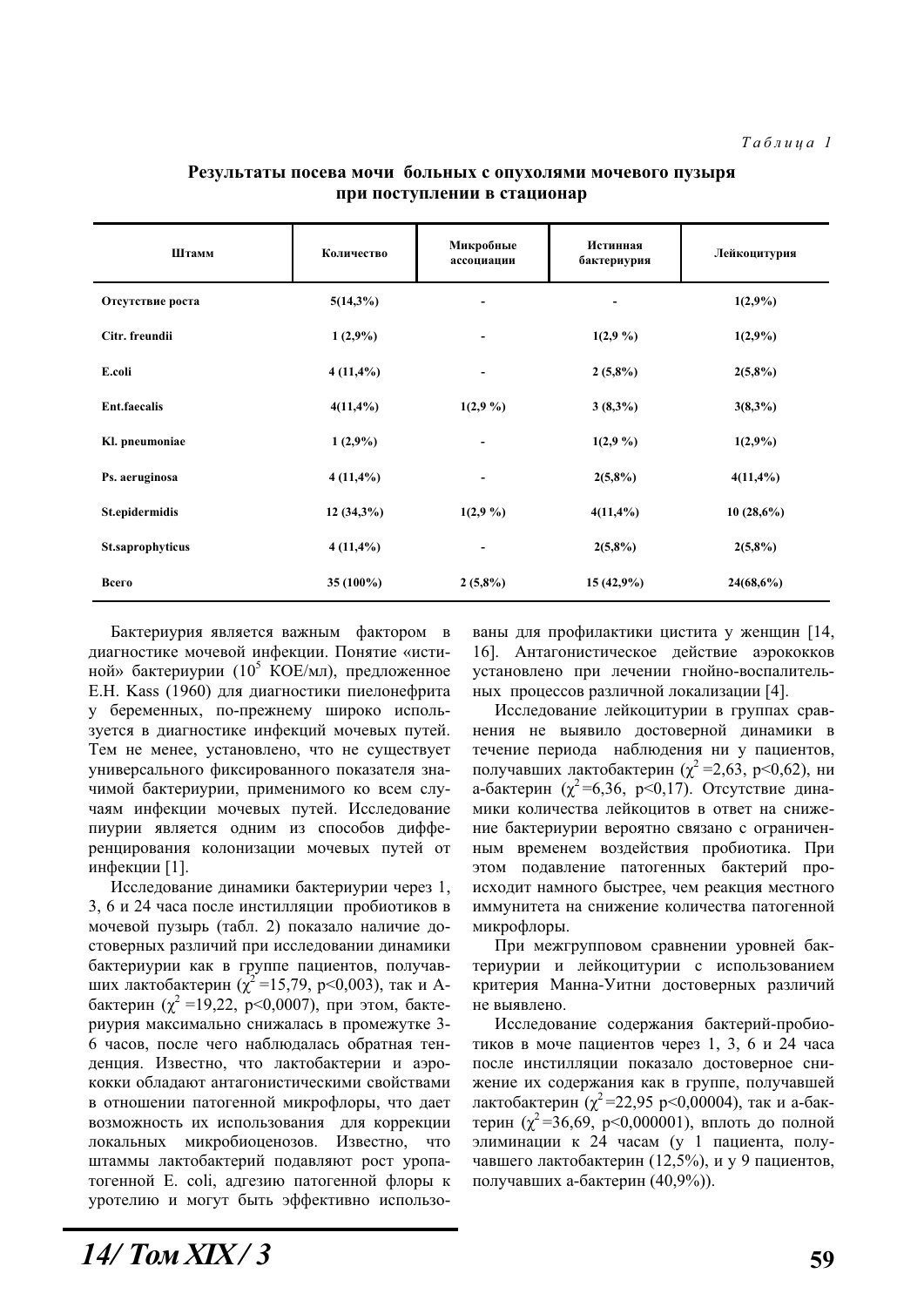| Штамм               | Количество   | Микробные<br>ассоциации      | Истинная<br>бактериурия | Лейкоцитурия |  |
|---------------------|--------------|------------------------------|-------------------------|--------------|--|
| Отсутствие роста    | $5(14,3\%)$  | $\overline{\phantom{a}}$     |                         | $1(2,9\%)$   |  |
| Citr. freundii      | $1(2,9\%)$   | -                            | $1(2,9\%)$              | $1(2,9\%)$   |  |
| E.coli              | $4(11,4\%)$  | $\qquad \qquad \blacksquare$ | $2(5,8\%)$              | $2(5,8\%)$   |  |
| <b>Ent.faecalis</b> | $4(11,4\%)$  | 1(2,9,9)                     | $3(8,3\%)$              | $3(8,3\%)$   |  |
| Kl. pneumoniae      | $1(2,9\%)$   | -                            | 1(2,9,9)                | $1(2,9\%)$   |  |
| Ps. aeruginosa      | $4(11,4\%)$  | $\overline{\phantom{a}}$     | $2(5,8\%)$              | $4(11, 4\%)$ |  |
| St.epidermidis      | $12(34,3\%)$ | 1(2,9,9)                     | $4(11,4\%)$             | 10(28,6%)    |  |
| St.saprophyticus    | $4(11,4\%)$  | $\blacksquare$               | $2(5,8\%)$              | $2(5,8\%)$   |  |
| Всего               | 35 $(100\%)$ | $2(5,8\%)$                   | $15(42,9\%)$            | 24(68,6%)    |  |

#### Результаты посева мочи больных с опухолями мочевого пузыря при поступлении в стационар

Бактериурия является важным фактором в диагностике мочевой инфекции. Понятие «истиной» бактериурии (10<sup>5</sup> КОЕ/мл), предложенное E.H. Kass (1960) для диагностики пиелонефрита у беременных, по-прежнему широко используется в диагностике инфекций мочевых путей. Тем не менее, установлено, что не существует универсального фиксированного показателя значимой бактериурии, применимого ко всем случаям инфекции мочевых путей. Исследование пиурии является одним из способов дифференцирования колонизации мочевых путей от инфекции [1].

Исследование динамики бактериурии через 1, 3, 6 и 24 часа после инстилляции пробиотиков в мочевой пузырь (табл. 2) показало наличие достоверных различий при исследовании динамики бактериурии как в группе пациентов, получавших лактобактерин ( $\chi^2$ =15,79, p<0,003), так и Абактерин ( $\chi^2$  =19,22, p<0,0007), при этом, бактериурия максимально снижалась в промежутке 3-6 часов, после чего наблюдалась обратная тенденция. Известно, что лактобактерии и аэрококки обладают антагонистическими свойствами в отношении патогенной микрофлоры, что дает возможность их использования для коррекции локальных микробиоценозов. Известно, что штаммы лактобактерий подавляют рост уропатогенной E, coli, алгезию патогенной флоры к уротелию и могут быть эффективно использованы для профилактики цистита у женщин [14, 16]. Антагонистическое действие аэрококков установлено при лечении гнойно-воспалительных процессов различной локализации [4].

Исследование лейкоцитурии в группах сравнения не выявило достоверной динамики в течение периода наблюдения ни у пациентов, получавших лактобактерин ( $\chi^2$  =2,63, p<0,62), ни а-бактерин ( $\chi^2$ =6,36, р<0,17). Отсутствие динамики количества лейконитов в ответ на снижение бактериурии вероятно связано с ограниченным временем воздействия пробиотика. При этом подавление патогенных бактерий происходит намного быстрее, чем реакция местного иммунитета на снижение количества патогенной микрофлоры.

При межгрупповом сравнении уровней бактериурии и лейкоцитурии с использованием критерия Манна-Уитни достоверных различий не выявлено.

Исследование содержания бактерий-пробиотиков в моче пациентов через 1, 3, 6 и 24 часа после инстилляции показало достоверное снижение их содержания как в группе, получавшей лактобактерин ( $\chi^2$ =22,95 p<0,00004), так и а-бактерин ( $\chi^2$ =36,69, p<0,000001), вплоть до полной элиминации к 24 часам (у 1 пациента, получавшего лактобактерин (12,5%), и у 9 пациентов, получавших а-бактерин (40,9%)).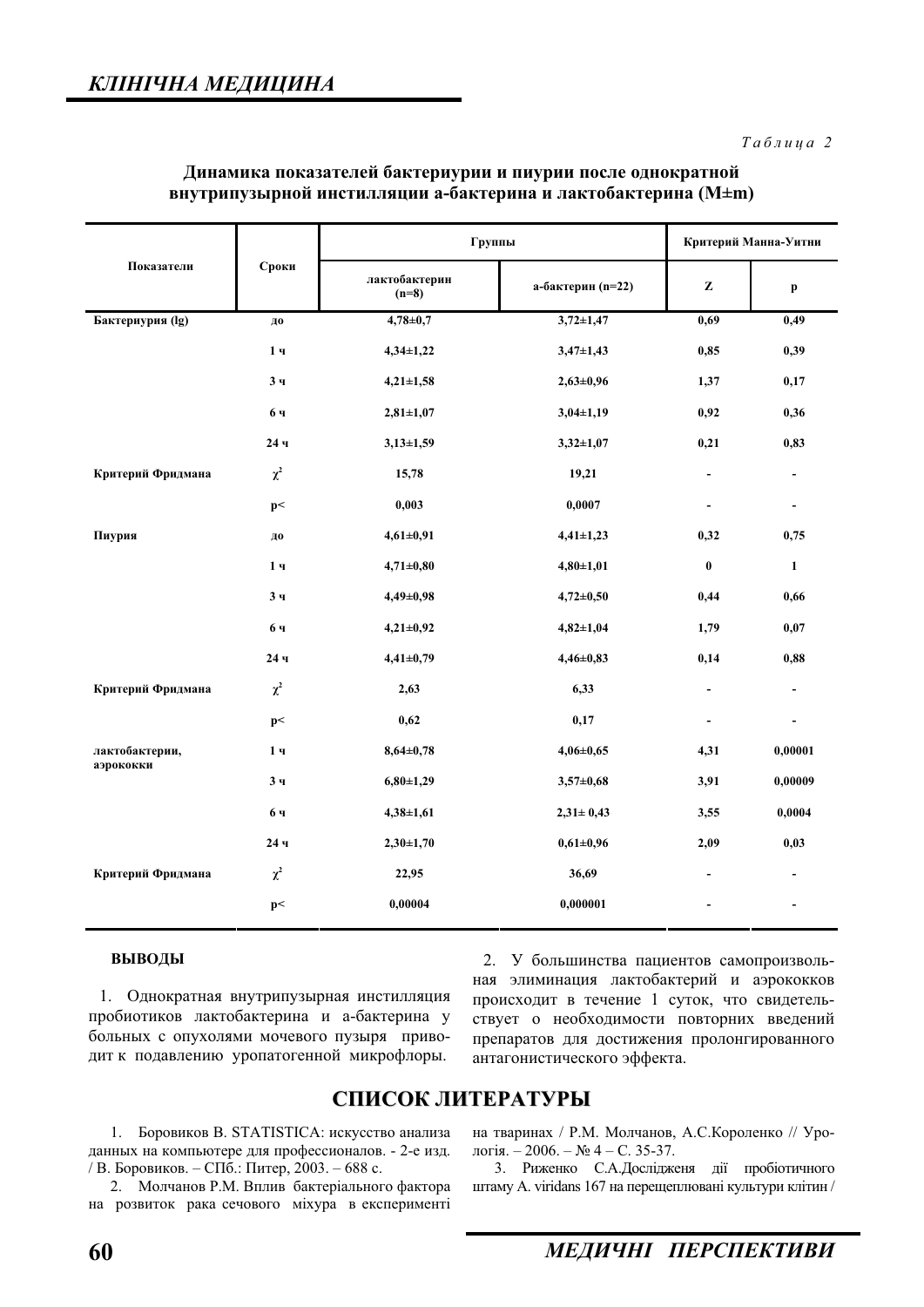| Показатели                  | Сроки          | Группы                   |                   | Критерий Манна-Уитни         |                          |
|-----------------------------|----------------|--------------------------|-------------------|------------------------------|--------------------------|
|                             |                | лактобактерин<br>$(n=8)$ | а-бактерин (n=22) | Z                            | p                        |
| Бактериурия (lg)            | ДО             | $4,78 \pm 0.7$           | $3,72 \pm 1,47$   | 0,69                         | 0,49                     |
|                             | 1 <sub>4</sub> | $4,34\pm1,22$            | $3,47 \pm 1,43$   | 0,85                         | 0,39                     |
|                             | 3 <sub>q</sub> | $4,21 \pm 1,58$          | $2,63\pm0,96$     | 1,37                         | 0,17                     |
|                             | 6ч             | $2,81 \pm 1,07$          | $3,04\pm1,19$     | 0,92                         | 0,36                     |
|                             | 24ч            | $3,13\pm1,59$            | $3,32 \pm 1,07$   | 0,21                         | 0,83                     |
| Критерий Фридмана           | $\chi^2$       | 15,78                    | 19,21             | $\blacksquare$               | $\blacksquare$           |
|                             | p<             | 0,003                    | 0,0007            | $\qquad \qquad \blacksquare$ | $\blacksquare$           |
| Пиурия                      | ДО             | $4,61 \pm 0,91$          | $4,41 \pm 1,23$   | 0,32                         | 0,75                     |
|                             | 1 <sub>q</sub> | $4,71 \pm 0,80$          | $4,80 \pm 1,01$   | $\bf{0}$                     | $\mathbf{1}$             |
|                             | 3 <sub>4</sub> | $4,49 \pm 0,98$          | $4,72 \pm 0,50$   | 0,44                         | 0,66                     |
|                             | 6ч             | $4,21\pm0,92$            | $4,82 \pm 1,04$   | 1,79                         | 0,07                     |
|                             | 24ч            | $4,41\pm0,79$            | $4,46 \pm 0,83$   | 0,14                         | 0,88                     |
| Критерий Фридмана           | $\chi^2$       | 2,63                     | 6,33              | $\blacksquare$               | $\blacksquare$           |
| лактобактерии,<br>аэрококки | p<             | 0,62                     | 0,17              | $\blacksquare$               | $\blacksquare$           |
|                             | 1 <sub>4</sub> | $8,64\pm0,78$            | $4,06 \pm 0,65$   | 4,31                         | 0,00001                  |
|                             | 3 <sub>4</sub> | $6,80\pm1,29$            | $3,57 \pm 0,68$   | 3,91                         | 0,00009                  |
|                             | 6ч             | $4,38 \pm 1,61$          | $2,31 \pm 0,43$   | 3,55                         | 0,0004                   |
|                             | 24ч            | $2,30\pm1,70$            | $0,61\pm0,96$     | 2,09                         | 0,03                     |
| Критерий Фридмана           | $\chi^2$       | 22,95                    | 36,69             |                              | $\blacksquare$           |
|                             | p<             | 0,00004                  | 0,000001          |                              | $\overline{\phantom{a}}$ |

#### Динамика показателей бактериурии и пиурии после однократной **внутрипузырной инстилляции а-бактерина и лактобактерина (M±m)**

#### **ВЫВОДЫ**

1. Однократная внутрипузырная инстилляция пробиотиков лактобактерина и а-бактерина у больных с опухолями мочевого пузыря приводит к подавлению уропатогенной микрофлоры.

2. У большинства пациентов самопроизвольная элиминация лактобактерий и аэрококков происходит в течение 1 суток, что свидетельствует о необходимости повторних введений препаратов для достижения пролонгированного антагонистического эффекта.

### СПИСОК ЛИТЕРАТУРЫ

1. Боровиков В. STATISTICA: искусство анализа данных на компьютере для профессионалов. - 2-е изд. / В. Боровиков. – СПб.: Питер, 2003. – 688 с.

2. Молчанов Р.М. Вплив бактеріального фактора на розвиток рака сечового міхура в експерименті на тваринах / Р.М. Молчанов, А.С.Короленко // Урологія. – 2006. – № 4 – С. 35-37.

3. Риженко С.А.Дослідженя дії пробіотичного urramy A. viridans 167 на перещеплювані культури клітин /